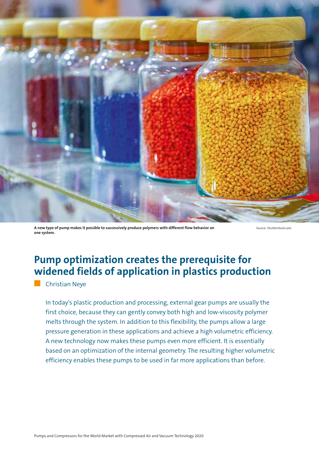

**A new type of pump makes it possible to successively produce polymers with different flow behavior on one system.**

Source: Shutterstock.com

## **Pump optimization creates the prerequisite for widened fields of application in plastics production**

**Christian Neve** 

In today's plastic production and processing, external gear pumps are usually the first choice, because they can gently convey both high and low-viscosity polymer melts through the system. In addition to this flexibility, the pumps allow a large pressure generation in these applications and achieve a high volumetric efficiency. A new technology now makes these pumps even more efficient. It is essentially based on an optimization of the internal geometry. The resulting higher volumetric efficiency enables these pumps to be used in far more applications than before.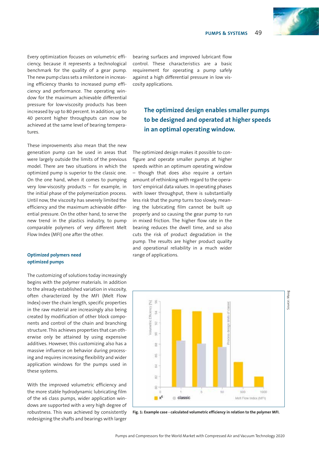

Every optimization focuses on volumetric efficiency, because it represents a technological benchmark for the quality of a gear pump. The new pump class sets a milestone in increasing efficiency thanks to increased pump efficiency and performance. The operating window for the maximum achievable differential pressure for low-viscosity products has been increased by up to 80 percent. In addition, up to 40 percent higher throughputs can now be achieved at the same level of bearing temperatures.

These improvements also mean that the new generation pump can be used in areas that were largely outside the limits of the previous model. There are two situations in which the optimized pump is superior to the classic one. On the one hand, when it comes to pumping very low-viscosity products – for example, in the initial phase of the polymerization process. Until now, the viscosity has severely limited the efficiency and the maximum achievable differential pressure. On the other hand, to serve the new trend in the plastics industry, to pump comparable polymers of very different Melt Flow Index (MFI) one after the other.

#### **Optimized polymers need optimized pumps**

The customizing of solutions today increasingly begins with the polymer materials. In addition to the already-established variation in viscosity, often characterized by the MFI (Melt Flow Index) over the chain length, specific properties in the raw material are increasingly also being created by modification of other block components and control of the chain and branching structure. This achieves properties that can otherwise only be attained by using expensive additives. However, this customizing also has a massive influence on behavior during processing and requires increasing flexibility and wider application windows for the pumps used in these systems.

With the improved volumetric efficiency and the more stable hydrodynamic lubricating film of the x6 class pumps, wider application windows are supported with a very high degree of robustness. This was achieved by consistently redesigning the shafts and bearings with larger

bearing surfaces and improved lubricant flow control. These characteristics are a basic requirement for operating a pump safely against a high differential pressure in low viscosity applications.

### **The optimized design enables smaller pumps to be designed and operated at higher speeds in an optimal operating window.**

The optimized design makes it possible to configure and operate smaller pumps at higher speeds within an optimum operating window – though that does also require a certain amount of rethinking with regard to the operators' empirical data values. In operating phases with lower throughput, there is substantially less risk that the pump turns too slowly, meaning the lubricating film cannot be built up properly and so causing the gear pump to run in mixed friction. The higher flow rate in the bearing reduces the dwell time, and so also cuts the risk of product degradation in the pump. The results are higher product quality and operational reliability in a much wider range of applications.



**Fig. 1: Example case - calculated volumetric efficiency in relation to the polymer MFI.**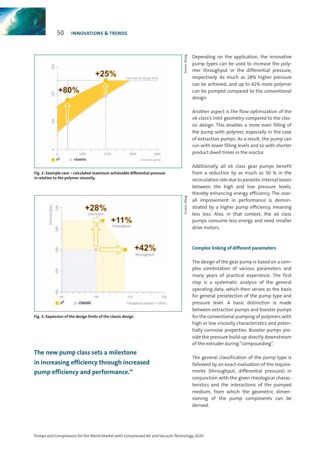



**Fig. 2: Example case – calculated maximum achievable differential pressure in relation to the polymer viscosity.**



**Fig. 3: Expansion of the design limits of the classic design**

**The new pump class sets a milestone in increasing efficiency through increased pump efficiency and performance."**

Depending on the application, the innovative pump types can be used to increase the polymer throughput or the differential pressure, respectively. As much as 28% higher pressure can be achieved, and up to 42% more polymer can be pumped compared to the conventional design.

Source: Maag

Maag Source:

> Another aspect is the flow optimization of the x6 class's inlet geometry compared to the classic design. This enables a more even filling of the pump with polymer, especially in the case of extraction pumps. As a result, the pump can run with lower filling levels and so with shorter product dwell times in the reactor.

> Additionally, all x6 class gear pumps benefit from a reduction by as much as 50 % in the recirculation rate due to parasitic internal losses between the high and low pressure levels, thereby enhancing energy efficiency. The overall improvement in performance is demonstrated by a higher pump efficiency, meaning less loss. Also, in that context, the x6 class pumps consume less energy and need smaller drive motors.

#### **Complex linking of different parameters**

The design of the gear pump is based on a complex combination of various parameters and many years of practical experience. The first step is a systematic analysis of the general operating data, which then serves as the basis for general preselection of the pump type and pressure level. A basic distinction is made between extraction pumps and booster pumps for the conventional pumping of polymers with high or low viscosity characteristics and potentially corrosive properties. Booster pumps provide the pressure build-up directly downstream of the extruder during "compounding".

The general classification of the pump type is followed by an exact evaluation of the requirements (throughput, differential pressure) in conjunction with the given rheological characteristics and the interactions of the pumped medium, from which the geometric dimensioning of the pump components can be derived.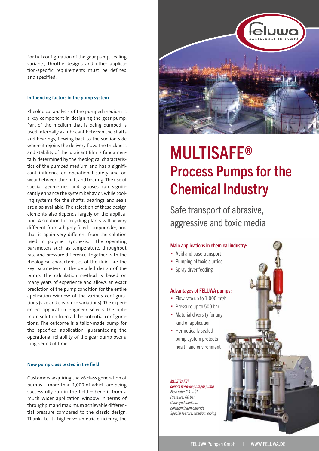For full configuration of the gear pump, sealing variants, throttle designs and other application-specific requirements must be defined and specified.

#### **Influencing factors in the pump system**

Rheological analysis of the pumped medium is a key component in designing the gear pump. Part of the medium that is being pumped is used internally as lubricant between the shafts and bearings, flowing back to the suction side where it rejoins the delivery flow. The thickness and stability of the lubricant film is fundamentally determined by the rheological characteristics of the pumped medium and has a significant influence on operational safety and on wear between the shaft and bearing. The use of special geometries and grooves can significantly enhance the system behavior, while cooling systems for the shafts, bearings and seals are also available. The selection of these design elements also depends largely on the application. A solution for recycling plants will be very different from a highly filled compounder, and that is again very different from the solution used in polymer synthesis. The operating parameters such as temperature, throughput rate and pressure difference, together with the rheological characteristics of the fluid, are the key parameters in the detailed design of the pump. The calculation method is based on many years of experience and allows an exact prediction of the pump condition for the entire application window of the various configurations (size and clearance variations). The experienced application engineer selects the optimum solution from all the potential configurations. The outcome is a tailor-made pump for the specified application, guaranteeing the operational reliability of the gear pump over a long period of time.

#### **New pump class tested in the field**

Customers acquiring the x6 class generation of pumps – more than 1,000 of which are being successfully run in the field – benefit from a much wider application window in terms of throughput and maximum achievable differential pressure compared to the classic design. Thanks to its higher volumetric efficiency, the



# **MULTISAFE®** Process Pumps for the Chemical Industry

Safe transport of abrasive, aggressive and toxic media

#### Main applications in chemical industry:

- Acid and base transport
- Pumping of toxic slurries
- Spray dryer feeding

#### Advantages of FELUWA pumps:

- Flow rate up to  $1,000 \text{ m}^3\text{/h}$
- Pressure up to 500 bar
- Material diversity for any kind of application
- **•** Hermetically sealed pump system protects health and environment

#### **MULTISAFE®**

double hose-diaphragm pump Flow rate:  $2.1 \text{ m}^3/h$ Pressure: 60 bar Conveyed medium: polyaluminium chloride Special feature: titanium piping